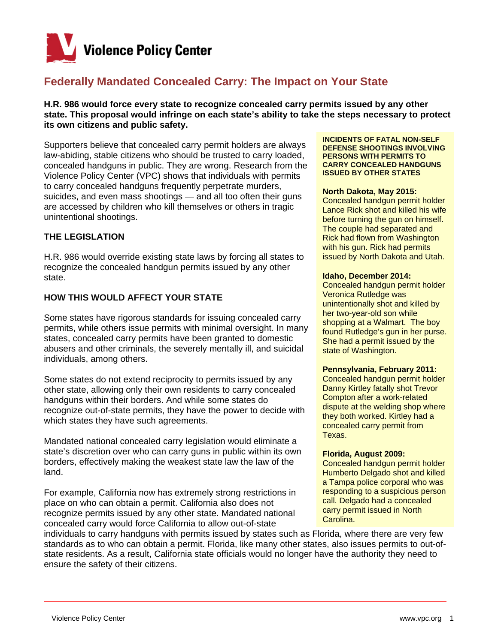

# **Federally Mandated Concealed Carry: The Impact on Your State**

**H.R. 986 would force every state to recognize concealed carry permits issued by any other state. This proposal would infringe on each state's ability to take the steps necessary to protect its own citizens and public safety.** 

Supporters believe that concealed carry permit holders are always law-abiding, stable citizens who should be trusted to carry loaded, concealed handguns in public. They are wrong. Research from the Violence Policy Center (VPC) shows that individuals with permits to carry concealed handguns frequently perpetrate murders, suicides, and even mass shootings — and all too often their guns are accessed by children who kill themselves or others in tragic unintentional shootings.

## **THE LEGISLATION**

H.R. 986 would override existing state laws by forcing all states to recognize the concealed handgun permits issued by any other state.

### **HOW THIS WOULD AFFECT YOUR STATE**

Some states have rigorous standards for issuing concealed carry permits, while others issue permits with minimal oversight. In many states, concealed carry permits have been granted to domestic abusers and other criminals, the severely mentally ill, and suicidal individuals, among others.

Some states do not extend reciprocity to permits issued by any other state, allowing only their own residents to carry concealed handguns within their borders. And while some states do recognize out-of-state permits, they have the power to decide with which states they have such agreements.

Mandated national concealed carry legislation would eliminate a state's discretion over who can carry guns in public within its own borders, effectively making the weakest state law the law of the land.

For example, California now has extremely strong restrictions in place on who can obtain a permit. California also does not recognize permits issued by any other state. Mandated national concealed carry would force California to allow out-of-state

#### **INCIDENTS OF FATAL NON-SELF DEFENSE SHOOTINGS INVOLVING PERSONS WITH PERMITS TO CARRY CONCEALED HANDGUNS ISSUED BY OTHER STATES**

#### **North Dakota, May 2015:**

Concealed handgun permit holder Lance Rick shot and killed his wife before turning the gun on himself. The couple had separated and Rick had flown from Washington with his gun. Rick had permits issued by North Dakota and Utah.

#### **Idaho, December 2014:**

Concealed handgun permit holder Veronica Rutledge was unintentionally shot and killed by her two-year-old son while shopping at a Walmart. The boy found Rutledge's gun in her purse. She had a permit issued by the state of Washington.

#### **Pennsylvania, February 2011:**

Concealed handgun permit holder Danny Kirtley fatally shot Trevor Compton after a work-related dispute at the welding shop where they both worked. Kirtley had a concealed carry permit from Texas.

#### **Florida, August 2009:**

Concealed handgun permit holder Humberto Delgado shot and killed a Tampa police corporal who was responding to a suspicious person call. Delgado had a concealed carry permit issued in North Carolina.

individuals to carry handguns with permits issued by states such as Florida, where there are very few standards as to who can obtain a permit. Florida, like many other states, also issues permits to out-ofstate residents. As a result, California state officials would no longer have the authority they need to ensure the safety of their citizens.